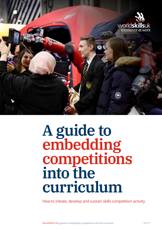

# **A guide to embedding competitions** into the **curriculum**

How to initiate, develop and sustain skills competition activity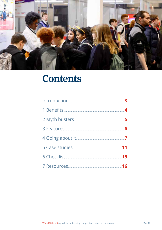

# **Contents**

| 6 Checklist 15 |  |
|----------------|--|
|                |  |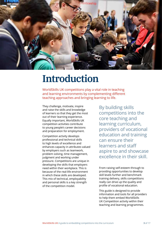

# **Introduction**

WorldSkills UK competitions play a vital role in teaching and learning environments by complementing different teaching approaches and bringing learning to life.

They challenge, motivate, inspire and raise the skills and knowledge of learners so that they get the most out of their learning experience. Equally important, WorldSkills UK competition activities contribute to young people's career decisions and preparation for employment.

Competition activity develops professional and technical skills to high levels of excellence and enhances capacity in attributes valued by employers such as teamwork, problem solving, time management, judgment and working under pressure. Competitions are unique in developing the skills that employers need within their workplace. This is because of the real-life environment in which these skills are developed. This mix of technical, employability and personal skills is a key strength of the competition model.

By building skills competitions into the core teaching and learning curriculum, providers of vocational education and training can ensure their learners and staff aspire to and showcase excellence in their skill.

From raising self-esteem through to providing opportunities to develop skill levels further and benchmark training delivery, skills competitions really can drive up the quality and profile of vocational education.

This guide is designed to provide information and tools for all providers to help them embed WorldSkills UK Competition activity within their teaching and learning programmes.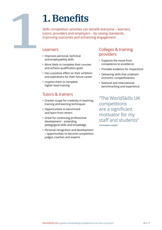# **1.Benefits**

Skills competition activities can benefit everyone – learners, tutors, providers and employers – by raising standards, improving outcomes and enhancing engagement

#### **Learners**

**1**

- **•** Improves personal, technical and employability skills
- **•** More likely to complete their courses and achieve qualification goals
- **•** Has a positive effect on their ambition and aspirations for their future career
- **•** Inspires them to complete higher-level training

# Tutors & trainers

- **•** Greater scope for creativity in teaching, training and learning techniques
- **•** Opportunities to benchmark and learn from others
- **•** Great for continuing professional development – extending pedagogical skills and knowledge
- **•** Personal recognition and development – opportunities to become competition judges, coaches and experts

## Colleges & training providers

- **•** Supports the move from competence to excellence
- **•** Provides evidence for inspections
- **•** Delivering skills that underpin economic competitiveness
- **•** National and international benchmarking and experience

"The WorldSkills UK competitions are a significant motivator for my staff and students" *Curriculum Leader*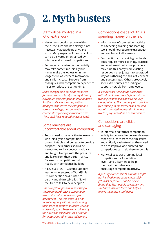# **2.Myth busters**

#### Staff will be involved in a lot of extra work

**2**

- **•** Having competition activity within the curriculum and its delivery is not necessarily about doing anything extra. Many aspects of the curriculum can be delivered or enhanced by internal and external competitions.
- **•** Setting up an assignment or activity may take some time initially but it may make the job easier in the longer term as learners' motivation and skills increase. Support from colleagues with competition experience helps to reduce the set-up time.

*Some colleges have set aside resources for an Innovation Fund, as a key driver of curriculum and competition development. Another college has a competitions manager, who drives the competitions across the college, and competition coordinators for every curriculum area. These staff have reduced teaching loads.*

#### Some learners are uncomfortable about competing

- **•** Tutors need to be sensitive to learners who initially find competitions uncomfortable and be ready to provide support. The learners should be introduced to the concept gradually and taught to cope with the pressure and learn from their performance. Classroom competitions help hugely with confidence building.
- **•** A Level 3 BTEC IT Systems Support learner who entered a WorldSkills UK competition said "I used to be shy and didn't talk a lot. Now I feel free to talk to new people."

*One college's approach to assessing a classroom hairdressing competition was to start with anonymous peer assessment. This was done in a nonthreatening way with students writing their score of another student's work on a piece of paper. These were collated by the tutor who used them as a prompt for discussion rather than judgement.*

#### Competitions cost a lot: this is spending money on the few

- **•** Informal use of competition activity as a teaching, training and learning tool should not require extra budget and can benefit all learners.
- **•** Competition activity at higher levels does require more coaching, practice and equipment but some providers may fund this partly from existing resources if they judge it to be a good way of furthering the skills of learners and success rates. Others proactively seek extra sources of funding or support, notably from employers.

*A lecturer said "One of the businesses with whom I have already forged strong working relationships now works very closely with us. The company also provides free training to the learners and me and has also donated thousands of pounds worth of equipment and consumables"*

#### Competitions are elitist and damaging

- **•** In informal and formal competition activity tutors need to develop learners' capacity to learn from their mistakes and critically evaluate what they need to do to improve and succeed and competitions can help them to do this
- **•** Many colleges start running local competitions for foundation, level 1 and 2 learners to help them gain confidence and encourage competition activity.

*A floristry learner said "I suppose people not involved in the competition might get upset or jealous, but I've never found this. Most people are happy and say I have inspired them and helped to give them more confidence"*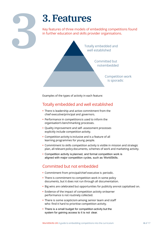

# **3.Features**

Key features of three models of embedding competitions found in further education and skills provider organisations.

> Totally embedded and well established

> > Committed but not embedded

> > > Competition work is sporadic

Examples of the types of activity in each feature:

# Totally embedded and well established

- **•** There is leadership and active commitment from the chief executive/principal and governors.
- **•** Performance in competitions is used to inform the organisation's benchmarking processes.
- **•** Quality improvement and self- assessment processes explicitly include competition activity.
- **•** Competition activity is inclusive and is a feature of all learning programmes for young people.
- **•** Commitment to skills competition activity is visible in mission and strategic plan, all relevant policy documents, schemes of work and marketing activity.
- **•** Competition activity is planned, and formal competition work is aligned with major competition cycles, such as WorldSkills.

# Committed but not embedded

- **•** Commitment from principal/chief executive is periodic.
- **•** There is commitment to competition work in some policy documents, but it does not run through all documentation.
- **•** Big wins are celebrated but opportunities for publicity are not capitalised on.
- **•** Evidence of the impact of competition activity on learner performance is not routinely collected.
- **•** There is some scepticism among senior team and staff who find it hard to prioritise competition activity.
- **•** There is a small budget for competition activity but the system for gaining access to it is not clear.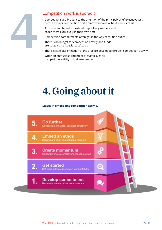

## Competition work is sporadic

- **•** Competitions are brought to the attention of the principal/ chief executive just before a major competition or if a team or individual has been successful.
- **•** Activity is run by enthusiasts who spot likely winners and coach them exclusively in their own time.
- **•** Competition commitments often get in the way of routine duties.
- **•** There is no budget for competition activity and funds are sought on a 'special case' basis.
- **•** There is little dissemination of the practice developed through competition activity.
- **•** When an enthusiastic member of staff leaves all competition activity in that area ceases.

# **4. Going about it**

#### **Stages in embedding competition activity**

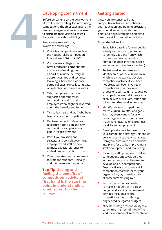

## Developing commitment

Before embarking on the development of a policy and strategy for introducing competitions, the chief executive, other senior managers and governors need to articulate their vision, to assess the added value this will bring.

Preparatory research may involve the following:

- **1.** Visit a big competition such as the national skills competition finals at WorldSkillsUK LIVE.
- **2.** Visit several colleges that have embraced competitions and are embedding them as part of routine delivery in apprenticeships and technical learning. Check the evidence – some colleges are collecting data on retention and success rates.
- **3.** Talk to employer that have supported apprentices in competitions and to their employees who might be involved about the benefits and issues.
- **4.** Talk to learners and staff who have been involved in competitions.
- **5.** Get together with colleagues to discuss your vision and how competitions can play a vital part in its achievement.
- **6.** Revisit your mission and strategy, and consult governors, employers and staff on how to make explicit reference to embedding competition in them.
- **7.** Communicate your commitment to staff and students – initially and then reiterate frequently.

**Top Tip: Seeing and feeling the benefits of competition activity at first hand is the starting point in understanding what is best for the college**

## Getting started

Once you are convinced that competitive activities can enhance your education and training provision, you should assess your starting point and begin strategic planning to introduce skills competition activity.

To set the ball rolling:

- **1.** Establish a baseline for competition activity within your organisation to identify gaps and from which to measure progress (such as number of areas involved in skills and number of students involved)
- **2.** Review curriculum plans and identify areas of the curriculum in which you may want to develop competition activity. If you have not previously been involved in competitions, you may want to choose one curriculum are, develop a competition around it, use it as a pilot, deliver it, evaluate, refine and roll out to other curriculum areas.
- **3.** Identify relevant competitions to match curriculum offer and gaps. You may even want to focus on certain ages or curriculum areas that link to local/regional priorities for skills and employment
- **4.** Develop a strategic framework for your competition strategy. This should be a long-term strategy that starts from your corporate plan and links into plans for quality improvement, staff development and marketing.
- **5.** Train key staff up on how to deliver competitions effectively so they in turn can support colleagues to develop and run competitions. Best practice is to appoint a skills competition coordinator for your organisation, or, make it a part of someone's existing role.
- **6.** Secure the resources needed to make it happen, with a clear budget and staffing commitment, perhaps through a central competitions fund, or through ring-fenced delegated budgets.
- **7.** Allocate strategic responsibility to a committed member of the SMT to lead the operational implementation.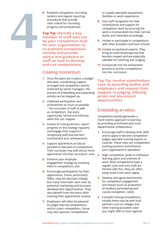- **4**
- **8.** Establish competition recording systems and regular reporting procedures that provide clear criteria for recording progress and achievement.

**Top Tip: Identify a key member of staff who can be your competition lead for your organisation to co-ordinate competition activity and provide advice and guidance to staff on how to develop and run competitions**

#### Creating momentum

- **1.** Once the plans are in place, a budget allocated, coordinating support arranged and competition activity endorsed by senior managers, the process of embedding and expanding activity can be stepped up.
- **2.** Celebrate participation and achievement as much as possible – the successes of staff as well as competitors. Use every opportunity, formal and informal, when this can happen.
- **3.** Involve SLT and governors: report progress on the strategy regularly and engage their support in recognising staff and learners' commitment and achievements.
- **4.** Support apprentices as fully as possible to take part in competitions. Their successes may well attract more
- **5.** Enhance your employer engagement strategy by involving them in competitions and
- **6.** Encourage participation by their apprentices. Some, particularly SMEs, may be reluctant initially, but many have been won over by potential marketing and business development opportunities. They also benefit from the extra skills training their apprentices receive.
- **7.** Employers will often be pleased to judge internal competitions and to coach competitors. Some may also sponsor competitions

or supply specialist equipment, facilities or work experience.

- **8.** Give staff recognition for their contributions and support for competition work by ensuring the work is incorporated into their normal duties and rewarded accordingly.
- **9.** Initiate or participate in competitions with other providers and local schools.
- **10.** Involve occupational experts. They bring an external perspective that learners respect and are especially valuable for coaching and judging.
- **11.** Incorporate into the assessment process to anchor competitions into the curriculum.

**Top Tip: Involve stakeholders such as awarding bodies and employers and request their support in judging, offering prizes and placement opportunities**

## Embedding an ethos

Competition activity generates a more holistic approach to learning by providing enrichment and crossdepartmental collaboration.

- **1.** Encourage staff to develop their skills and to apply to become competition judges, specialist training experts or coaches. These roles can complement existing positions and enhance your organisation's reputation.
- apprentices into that curriculum area. **2.** Align competition cycles to individual learning plans and schemes of work. Most competitions have a regular cycle and once staff are familiar with this, they can often easily build it into work plans.
	- **3.** Develop and agree benchmarks for competition engagement and impact (such as proportion of students participating and course completion rates).
	- **4.** Consider hosting competitions. Initially these may be with local partners such as colleges and other training providers; later you might offer to host regional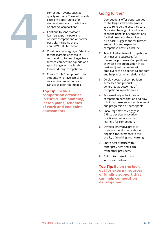

competition events such as qualifying heats. These all provide excellent opportunities for staff and learners to participate or observe competitions.

- **5.** Continue to send staff and learners to participate and observe competitions whenever possible, including at the annual WSUK LIVE event.
- **6.** Consider encouraging an 'identity' for the learners engaged in competition. Some colleges have created competition squads who sport badges or special shirts to wear during competition.
- **7.** Create "Skills Champions" from students who have achieved success in competitions and can act as peer role models.

**Top Tip: Include competition activities in curriculum planning, lesson plans, schemes of work and end point assessments**

# Going further

- **1.** Competitions offer opportunities to challenge staff and learners to aspire to do the best they can. Once staff have 'got it' and have seen the benefits of competitions for their learners, they will not turn back. Suggestions for further embedding and expanding competitive activities include:
- **2.** Take full advantage of competition activities and successes for marketing purposes. Competitions showcase the organisation at its best and joint marketing with employers can be beneficial for both and help to cement relationships
- **3.** Display posters of competition successes and products generated as outcomes of competition in public areas.
- **4.** Systematically collect data on competition participation and how it links to the retention, achievement and progression of participants.
- **5.** Encourage staff to engage in CPD to develop innovative practice in preparation of learners for competition.
- **6.** Develop innovative practice using competition activities for ongoing improvements to the quality of teaching and learning.
- **7.** Share best practice with other providers and learn from other providers.
- **8.** Build into strategic plans with local partners.

**Top Tip: Be on the lookout for external sources of funding support that can help competition development**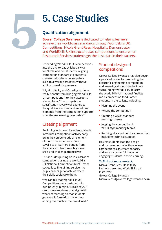# **5.Case Studies**

## **Qualification alignment**

**5**

**Gower College Swansea** is dedicated to helping learners achieve their world-class standards through WorldSkills UK Competitions. Nicola Grant-Rees, Hospitality Demonstrator and WorldSkills UK Instructor, uses competitions to ensure her Restaurant Services students get the best start in their careers.

Embedding WorldSkills UK competitions into the day-to-day syllabus is vital for Nicola and her students. Aligning competition standards to students' courses helps them develop their skills to a world-class level, without adding unrealistic pressure.

"My Hospitality and Catering students really benefit from bringing WorldSkills UK competitions into the classroom," she explains. "The competition specification is very well aligned to the qualification standard, so adding elements from the competition supports what they're learning day-to-day."

# Creating alignment

Beginning with Level 1 students, Nicola introduces competition activity early on in the course to add an element of fun to the experience. From Level 1 to 3, learners benefit from the chance to learn new high-level skills and challenge themselves.

This includes putting on in-classroom competitions using the WorldSkills UK National Competition brief – from cocktails to fine dining service – to help learners get a taste of where their skills could take them.

"We can tell that WorldSkills UK Competitions were designed with our industry in mind," Nicola says. "I can choose modules that align with what I'm teaching so that students get extra information but without adding too much to their workload."

## Student designed competitions

Gower College Swansea has also begun a peer-led model for promoting the electronic engineering competition and engaging students in the ideas surrounding WorldSkills. In 2019 the WorldSkills UK national finalists ran a competition for 48 other students in the college, including:

- **•** Planning the event
- **•** Writing the competition
- **•** Creating a WSUK standard marking scheme
- **•** Judging the competition in WSUK style marking teams
- **•** Running all aspects of the competition including technical support

Having students lead the design and management of within-college competitions can create capacity and act as a powerful model for engaging students in their learning.

#### **To find out more contact:**

Nicola Grant-Rees, Hospitality Demonstrator and WorldSkills UK Instructor, Gower College Swansea [Nicola.Rees@gowercollegeswansea.ac.uk](mailto:Nicola.Rees@gowercollegeswansea.ac.uk)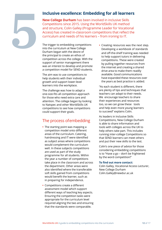## **Inclusive excellence: Embedding for all learners**

**New College Durham** has been involved in inclusive Skills Competitions since 2015. Using the WorldSkills UK method and structure, Colin Galley (Programme Leader for Vocational Access) has created in-classroom competitions that reflect the curriculum and needs of his learners – from ironing to IT.

The trigger to embedding competitions into the curriculum at New College Durham began with the desire of the principal to create an ethos of competition across the college. With the support of senior management there was an interest to develop and promote a competition model for SEND students.

**5**

The aim was to use competitions to help students with their individual growth and support lower-level learners into the workplace.

The challenge was how to adapt a one-size-fits all competition approach for those who need extra care and attention. The college began by looking to Natspec and other WorldSkills UK competitions to see how competitions could support their goals.

## The process of embedding

- **•** The starting point was mapping a competition model onto different areas of the curriculum. Catering, hairdressing and IT were identified as subject areas where competitions would complement the curriculum well. In these subjects competitions are used as part of the study programme for all students. Within the year a number of competitions take place in the classroom and across the department. Other areas were also identified where the transferable soft skills gained from competitions would benefit the learner, such as in preparing for independence.
- **•** Competitions create a different assessment model which support different ways of teaching key aspects. Ensuring the competition tasks were appropriate for the curriculum level required aligning the two and ensuring that the standards were comparable.

**•** Creating resources was the next step. Developing a workbook of standards and off-the-shelf training was needed to help support tutors in delivering competitions. These were created by pulling together resources from the internet and creating a shared drive area to make them readily available. Good communications have expanded these resources over the years as best practice is added.

"As each student is different, there are plenty of tips and techniques that teachers can adapt to their needs. We encourage teachers to share their experiences and resources too, so we can grow these tools and help even more young learners to succeed" explains Colin.

As leaders in Inclusive Skills Competitions, New College Durham is able to share information and tools with colleges across the UK to help others take part. This includes running inter-college Competitions so that SEND learners can meet others and put their new skills to the test.

Colin's one piece of advice for those considering embedding competitions is to "Have a go – don't be frightened by the word competition!"

#### **To find out more contact:**

Colin Galley, Vocational Access Lecturer, New College Durham [Colin.Galley@newdur.ac.uk](mailto:Colin.Galley@newdur.ac.uk)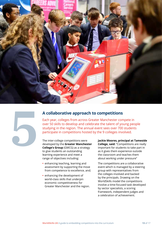



## **A collaborative approach to competitions**

Each year, colleges from across Greater Manchester compete in over 50 skills to develop and celebrate the talent of young people studying in the region. The annual event sees over 700 students participate in competitions hosted by the 9 colleges involved.

The inter-college competitions were developed by the **Greater Manchester College's Group** (GMCG) as a strategy to give students an outstanding learning experience and meet a range of objectives including:

- **•** enhancing teaching, learning and assessment by supporting the move from competence to excellence, and;
- **•** enhancing the development of world-class skills that underpin economic competitiveness for Greater Manchester and the region.

**Jackie Moores, principal at Tameside College, said:** "Competitions are really important for students to take part in as it gives them experience outside the classroom and teaches them about working under pressure"

The competitions are a collaborative event which is managed by a steering group with representatives from the colleges involved and backed by the principals. Drawing on the WorldSkills model the competitions involve a time-focused task developed by sector specialists, a scoring framework, independent judges and a celebration of achievement.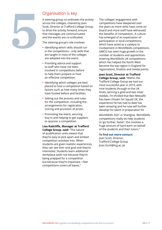# **5**

## Organisation is key

A steering group co-ordinates the activity across the colleges, chaired by Joan Scott, Director at Trafford College Group, to drive the activity forward, ensure that messages are communicated, and the events are co-ordinated.

The steering group's role involves:

- **•** Identifying which skills should run in the competitions - only skills that are taught in most of the colleges are adopted into the event.
- **•** Providing advice and support to staff who have not been involved in competitions before to help them prepare or host an effective competition.
- **•** Identifying which colleges are best placed to host a competition based on factors such as how many times they have hosted before and facilities.
- **•** Setting out the process and rules for the competition, including the arrangements for registration, scoring and provision of prizes.
- **•** Promoting the event, securing buy-in and helping to get suppliers to sponsor a competition.

**Lisa Radcliffe, Manager at Trafford College Group, said:** "The nature of qualification units means that they're easy to pick apart and embed competition activities into. When students are given realistic experiences, they can see their end goal and they're interested. Students learn additional workplace tasks not because they're being prepped for a competition but because they're important. I feel competitions covers all bases."

The colleges' engagement with competitions have deepened over the years as more skills have come on board and more staff have witnessed the benefits of competition. A culture has emerged of an expectation of participation in local competitions which have acted as a catalyst to involvement in WorldSkills competitions. GMCG has seen huge growth in the number of students and apprentices entering WorldSkills UK competitions which has helped the North West become the top region in England for registrations, finalists and medal points.

**Joan Scott, Director at Trafford College Group, said:** "Within the Trafford College Group we had our most successful year in 2019, with nine students through to the UK finals, winning a gold and two silver medals. I'm thrilled that Ben Metcalfe has been chosen for Squad UK, the experience he has had to date has been amazing and he now will further develop his talent in preparation for

WorldSkills 2021 in Shanghai. WorldSkills competitions really do help students to 'go further, faster', this involves a huge amount of hard work on behalf of the students and their tutors."

#### **To find out more contact:**

Joan Scott, Director, Trafford College Group [Joan.Scott@tcg.ac.uk](mailto:Joan.Scott@tcg.ac.uk)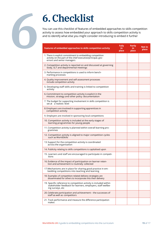

# **6.Checklist**

You can use this checklist of features of embedded approaches to skills competition activity to assess how embedded your approach to skills competition activity is and to identify what else you might consider introducing to embed it further

| Features of embedded approaches to skills competition activity                                                                                        | <b>Fully</b><br>in.<br>place | <b>Partly</b><br>in<br>place | Not in<br>place |
|-------------------------------------------------------------------------------------------------------------------------------------------------------|------------------------------|------------------------------|-----------------|
| 1. There is explicit commitment to embedding competition<br>activity on the part of the chief executive/principal, gov-<br>ernors and senior managers |                              |                              |                 |
| 2. Competition activity is reported on and discussed at governing<br>body, SLT and departmental meetings                                              |                              |                              |                 |
| 3. Performance in competitions is used to inform bench-<br>marking processes                                                                          |                              |                              |                 |
| 4. Quality improvement and self-assessment processes<br>include competition activity                                                                  |                              |                              |                 |
| 5. Developing staff skills and training is linked to competition<br>activity                                                                          |                              |                              |                 |
| 6. Commitment to competition activity is explicit in the<br>mission, strategy and other policy documentation                                          |                              |                              |                 |
| 7. The budget for supporting involvement in skills competition is<br>set at a realistic level                                                         |                              |                              |                 |
| 8. Employers are involved in supporting apprentices in<br>competition activity                                                                        |                              |                              |                 |
| 9. Employers are involved in sponsoring local competitions                                                                                            |                              |                              |                 |
| 10. Competition activity is included at the early stages of<br>learning programmes for young people                                                   |                              |                              |                 |
| 11. Competition activity is planned within overall learning pro-<br>grammes                                                                           |                              |                              |                 |
| 12. Competition activity is aligned to major competition cycles<br>such as WorldSkills                                                                |                              |                              |                 |
| 13. Support for the competition activity is coordinated<br>across the organisation                                                                    |                              |                              |                 |
| 14. Publicity relating to skills competitions is capitalised upon                                                                                     |                              |                              |                 |
| 15. Learners and staff are encouraged to participate in competi-<br>tions                                                                             |                              |                              |                 |
| 16. Evidence of the impact of participation on learner reten-<br>tion and achievement is routinely collected                                          |                              |                              |                 |
| 17. Mechanisms are in place for sharing good practice in em-<br>bedding competitions into teaching and learning                                       |                              |                              |                 |
| 18. Examples of competition-related delivery strategies are<br>disseminated for others to incorporate into their delivery                             |                              |                              |                 |
| 19. Specific reference to competition activity is included within<br>stakeholder feedback for learners, employers, staff wellbe-<br>ing surveys, etc  |                              |                              |                 |
| 20. Celebrate participation and achievement - the successes of<br>staff as well as competitors                                                        |                              |                              |                 |
| 21. Track performance and measure the difference participation<br>makes                                                                               |                              |                              |                 |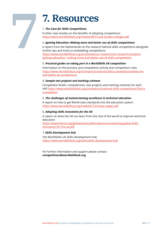# **7. Resources**

#### 1. *The Case for Skills Competitions*

**7**

Further case studies on the benefits of adopting competitions [https://www.worldskillsuk.org/media/4457/case-studies-colleges.pdf](http://www.worldskillsuk.org/media/4457/case-studies-colleges.pdf)

#### 2. *Igniting Education: Making more and better use of skills competitions*

A report from the Netherlands on the research behind skills competitions alongside further tips and tricks to embedding competitions [https://www.worldskillsuk.org/accelerate/our-](http://www.worldskillsuk.org/accelerate/our-research/our-research-projects/igniting-education-)resear[ch/our-research-projects/](http://www.worldskillsuk.org/accelerate/our-research/our-research-projects/igniting-education-) [igniting-education-](http://www.worldskillsuk.org/accelerate/our-research/our-research-projects/igniting-education-) making-more-and-better-use-of-skills-competitions

#### 3. *Practical guides on taking part in a WorldSkills UK competition*

Information on the process, pre-competition activity and competition rules [https://www.worldskillsuk.org/champions/national-skills-competitions/what-are](http://www.worldskillsuk.org/champions/national-skills-competitions/what-are-worldskills-uk-competitions)[worldskills-uk-c](http://www.worldskillsuk.org/champions/national-skills-competitions/what-are-worldskills-uk-competitions)ompetitions

#### 4. *Sample test projects and marking schemes*

Competition briefs, competencies, test projects and marking schemes for each skill [https://www.worldskillsuk.org/champions/national-skills-competitions/find-a](http://www.worldskillsuk.org/champions/national-skills-competitions/find-a-competition)[competition](http://www.worldskillsuk.org/champions/national-skills-competitions/find-a-competition)

#### 5. *The challenges of mainstreaming excellence in technical education*

A report on how to get World-class standards into the education system [https://www.worldskillsuk.org/media/6152/skope\\_pages.pdf](http://www.worldskillsuk.org/media/6152/skope_pages.pdf)

#### 6. *Adopting skills innovation for the UK*

A report on what the UK can learn from the rest of the world to improve technical education

[https://www.thersa.org/globalassets/pdfs/reports/rsa-adopting-global-skills](http://www.thersa.org/globalassets/pdfs/reports/rsa-adopting-global-skills-innovation-for-the-uk.pdf)[innovation-for-the-uk.pdf](http://www.thersa.org/globalassets/pdfs/reports/rsa-adopting-global-skills-innovation-for-the-uk.pdf)

#### 7. *Skills Development Hub*

The WorldSkills UK Skills Development Hub https://www.worldskillsuk.org/skills/skills-development-hu[b](https://www.worldskillsuk.org/skills/skills-development-hub)

For further information and support please contact: **[competitions@worldskillsuk.org](mailto:competitions@worldskillsuk.org)**